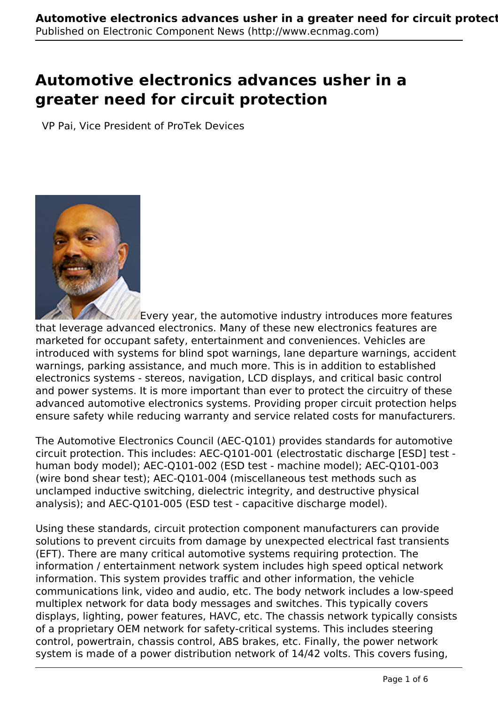# **Automotive electronics advances usher in a greater need for circuit protection**

VP Pai, Vice President of ProTek Devices



Every year, the automotive industry introduces more features that leverage advanced electronics. Many of these new electronics features are marketed for occupant safety, entertainment and conveniences. Vehicles are introduced with systems for blind spot warnings, lane departure warnings, accident warnings, parking assistance, and much more. This is in addition to established electronics systems - stereos, navigation, LCD displays, and critical basic control and power systems. It is more important than ever to protect the circuitry of these advanced automotive electronics systems. Providing proper circuit protection helps ensure safety while reducing warranty and service related costs for manufacturers.

The Automotive Electronics Council (AEC-Q101) provides standards for automotive circuit protection. This includes: AEC-Q101-001 (electrostatic discharge [ESD] test human body model); AEC-Q101-002 (ESD test - machine model); AEC-Q101-003 (wire bond shear test); AEC-Q101-004 (miscellaneous test methods such as unclamped inductive switching, dielectric integrity, and destructive physical analysis); and AEC-Q101-005 (ESD test - capacitive discharge model).

Using these standards, circuit protection component manufacturers can provide solutions to prevent circuits from damage by unexpected electrical fast transients (EFT). There are many critical automotive systems requiring protection. The information / entertainment network system includes high speed optical network information. This system provides traffic and other information, the vehicle communications link, video and audio, etc. The body network includes a low-speed multiplex network for data body messages and switches. This typically covers displays, lighting, power features, HAVC, etc. The chassis network typically consists of a proprietary OEM network for safety-critical systems. This includes steering control, powertrain, chassis control, ABS brakes, etc. Finally, the power network system is made of a power distribution network of 14/42 volts. This covers fusing,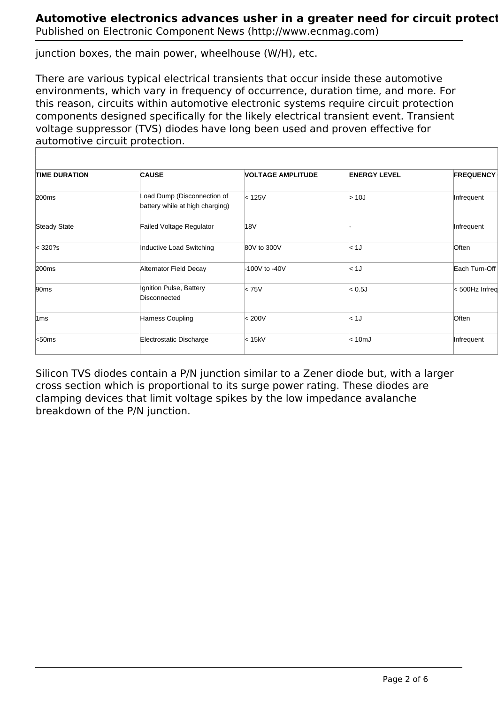Published on Electronic Component News (http://www.ecnmag.com)

junction boxes, the main power, wheelhouse (W/H), etc.

There are various typical electrical transients that occur inside these automotive environments, which vary in frequency of occurrence, duration time, and more. For this reason, circuits within automotive electronic systems require circuit protection components designed specifically for the likely electrical transient event. Transient voltage suppressor (TVS) diodes have long been used and proven effective for automotive circuit protection.

| <b>TIME DURATION</b> | <b>CAUSE</b>                                                   | <b>VOLTAGE AMPLITUDE</b> | <b>ENERGY LEVEL</b> | <b>FREQUENCY</b> |
|----------------------|----------------------------------------------------------------|--------------------------|---------------------|------------------|
| 200 <sub>ms</sub>    | Load Dump (Disconnection of<br>battery while at high charging) | < 125V                   | >10J                | Infrequent       |
| <b>Steady State</b>  | <b>Failed Voltage Regulator</b>                                | 18V                      |                     | Infrequent       |
| $\mathsf{k}$ 320?s   | Inductive Load Switching                                       | 80V to 300V              | < 1J                | Often            |
| 200 <sub>ms</sub>    | Alternator Field Decay                                         | -100V to -40V            | < 1J                | Each Turn-Off    |
| 90 <sub>ms</sub>     | Ignition Pulse, Battery<br>Disconnected                        | < 75V                    | < 0.5J              | <500Hz Infreq    |
| $\text{1ms}$         | Harness Coupling                                               | < 200V                   | < 1J                | Often            |
| $k$ 50ms             | Electrostatic Discharge                                        | < 15kV                   | < 10 <sub>mJ</sub>  | Infrequent       |

Silicon TVS diodes contain a P/N junction similar to a Zener diode but, with a larger cross section which is proportional to its surge power rating. These diodes are clamping devices that limit voltage spikes by the low impedance avalanche breakdown of the P/N junction.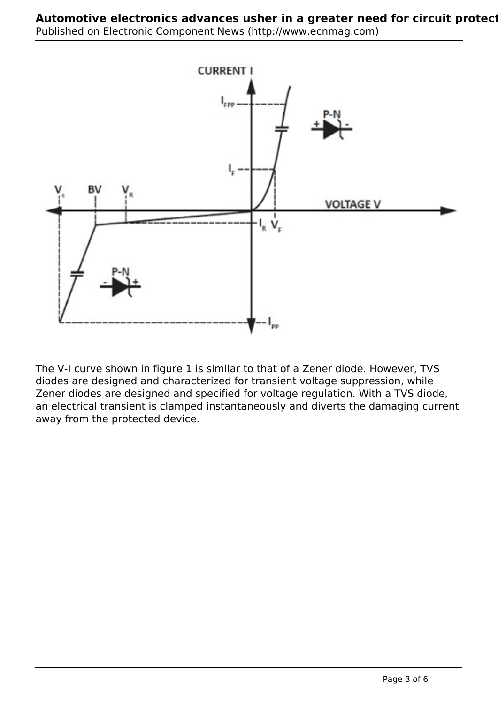

The V-I curve shown in figure 1 is similar to that of a Zener diode. However, TVS diodes are designed and characterized for transient voltage suppression, while Zener diodes are designed and specified for voltage regulation. With a TVS diode, an electrical transient is clamped instantaneously and diverts the damaging current away from the protected device.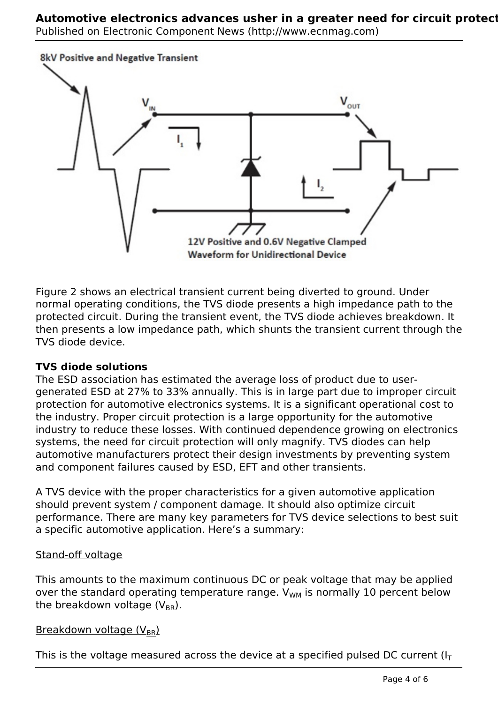## **Automotive electronics advances usher in a greater need for circuit protection** Published on Electronic Component News (http://www.ecnmag.com)



Figure 2 shows an electrical transient current being diverted to ground. Under normal operating conditions, the TVS diode presents a high impedance path to the protected circuit. During the transient event, the TVS diode achieves breakdown. It then presents a low impedance path, which shunts the transient current through the TVS diode device.

# **TVS diode solutions**

The ESD association has estimated the average loss of product due to usergenerated ESD at 27% to 33% annually. This is in large part due to improper circuit protection for automotive electronics systems. It is a significant operational cost to the industry. Proper circuit protection is a large opportunity for the automotive industry to reduce these losses. With continued dependence growing on electronics systems, the need for circuit protection will only magnify. TVS diodes can help automotive manufacturers protect their design investments by preventing system and component failures caused by ESD, EFT and other transients.

A TVS device with the proper characteristics for a given automotive application should prevent system / component damage. It should also optimize circuit performance. There are many key parameters for TVS device selections to best suit a specific automotive application. Here's a summary:

## Stand-off voltage

This amounts to the maximum continuous DC or peak voltage that may be applied over the standard operating temperature range.  $V_{WM}$  is normally 10 percent below the breakdown voltage  $(V_{BR})$ .

Breakdown voltage (V<sub>BR</sub>)

This is the voltage measured across the device at a specified pulsed DC current  $(I<sub>T</sub>)$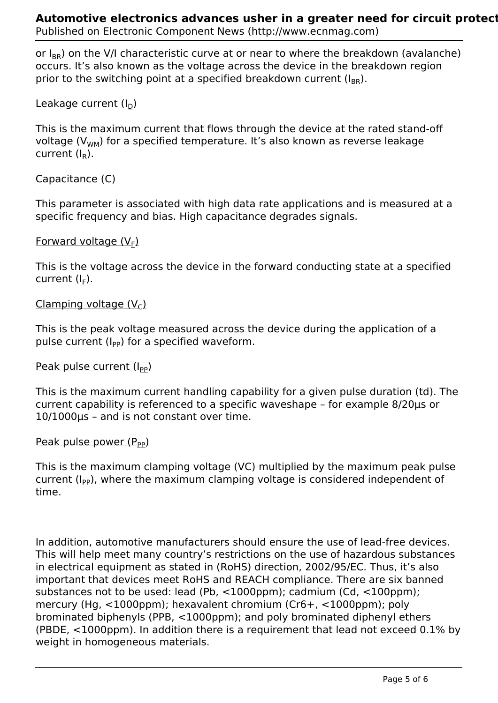or  $I_{BB}$ ) on the V/I characteristic curve at or near to where the breakdown (avalanche) occurs. It's also known as the voltage across the device in the breakdown region prior to the switching point at a specified breakdown current  $(I_{BB})$ .

# Leakage current  $(I_D)$

This is the maximum current that flows through the device at the rated stand-off voltage  $(V_{WM})$  for a specified temperature. It's also known as reverse leakage current  $(I_{\rm R})$ .

## Capacitance (C)

This parameter is associated with high data rate applications and is measured at a specific frequency and bias. High capacitance degrades signals.

# <u>Forward voltage (V<sub>E</sub>)</u>

This is the voltage across the device in the forward conducting state at a specified current (I<sub>F</sub>).

## Clamping voltage  $(V<sub>C</sub>)$

This is the peak voltage measured across the device during the application of a pulse current  $(I_{PP})$  for a specified waveform.

## Peak pulse current  $(I_{PP})$

This is the maximum current handling capability for a given pulse duration (td). The current capability is referenced to a specific waveshape – for example 8/20μs or 10/1000μs – and is not constant over time.

## Peak pulse power  $(P_{PP})$

This is the maximum clamping voltage (VC) multiplied by the maximum peak pulse current  $(I_{PP})$ , where the maximum clamping voltage is considered independent of time.

In addition, automotive manufacturers should ensure the use of lead-free devices. This will help meet many country's restrictions on the use of hazardous substances in electrical equipment as stated in (RoHS) direction, 2002/95/EC. Thus, it's also important that devices meet RoHS and REACH compliance. There are six banned substances not to be used: lead (Pb, <1000ppm); cadmium (Cd, <100ppm); mercury (Hg, <1000ppm); hexavalent chromium (Cr6+, <1000ppm); poly brominated biphenyls (PPB, <1000ppm); and poly brominated diphenyl ethers (PBDE, <1000ppm). In addition there is a requirement that lead not exceed 0.1% by weight in homogeneous materials.